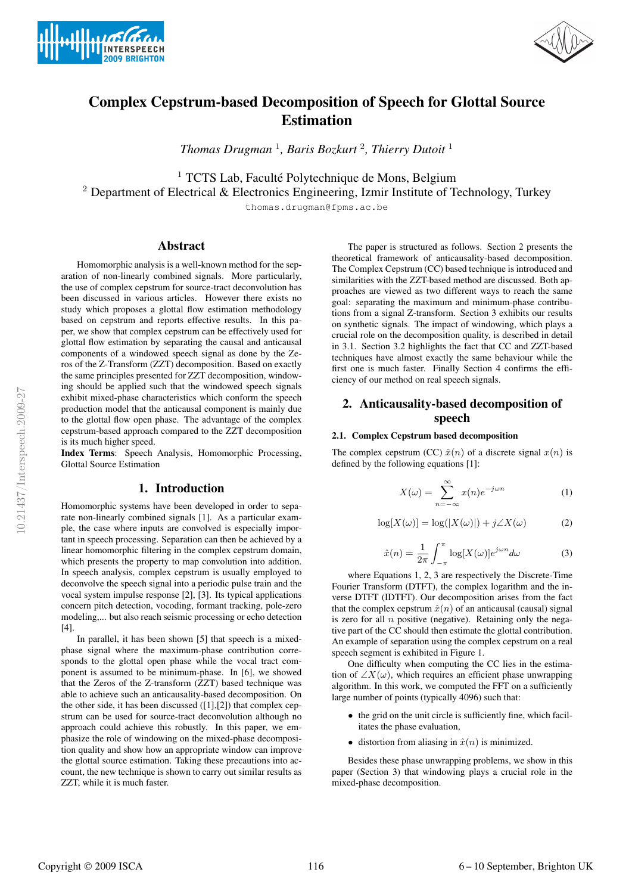



# Complex Cepstrum-based Decomposition of Speech for Glottal Source Estimation

*Thomas Drugman* <sup>1</sup> *, Baris Bozkurt* <sup>2</sup> *, Thierry Dutoit* <sup>1</sup>

 $1$  TCTS Lab, Faculté Polytechnique de Mons, Belgium

<sup>2</sup> Department of Electrical & Electronics Engineering, Izmir Institute of Technology, Turkey

thomas.drugman@fpms.ac.be

# Abstract

Homomorphic analysis is a well-known method for the separation of non-linearly combined signals. More particularly, the use of complex cepstrum for source-tract deconvolution has been discussed in various articles. However there exists no study which proposes a glottal flow estimation methodology based on cepstrum and reports effective results. In this paper, we show that complex cepstrum can be effectively used for glottal flow estimation by separating the causal and anticausal components of a windowed speech signal as done by the Zeros of the Z-Transform (ZZT) decomposition. Based on exactly the same principles presented for ZZT decomposition, windowing should be applied such that the windowed speech signals exhibit mixed-phase characteristics which conform the speech production model that the anticausal component is mainly due to the glottal flow open phase. The advantage of the complex cepstrum-based approach compared to the ZZT decomposition is its much higher speed.

Index Terms: Speech Analysis, Homomorphic Processing, Glottal Source Estimation

# 1. Introduction

Homomorphic systems have been developed in order to separate non-linearly combined signals [1]. As a particular example, the case where inputs are convolved is especially important in speech processing. Separation can then be achieved by a linear homomorphic filtering in the complex cepstrum domain, which presents the property to map convolution into addition. In speech analysis, complex cepstrum is usually employed to deconvolve the speech signal into a periodic pulse train and the vocal system impulse response [2], [3]. Its typical applications concern pitch detection, vocoding, formant tracking, pole-zero modeling,... but also reach seismic processing or echo detection [4].

In parallel, it has been shown [5] that speech is a mixedphase signal where the maximum-phase contribution corresponds to the glottal open phase while the vocal tract component is assumed to be minimum-phase. In [6], we showed that the Zeros of the Z-transform (ZZT) based technique was able to achieve such an anticausality-based decomposition. On the other side, it has been discussed  $([1],[2])$  that complex cepstrum can be used for source-tract deconvolution although no approach could achieve this robustly. In this paper, we emphasize the role of windowing on the mixed-phase decomposition quality and show how an appropriate window can improve the glottal source estimation. Taking these precautions into account, the new technique is shown to carry out similar results as ZZT, while it is much faster.

The paper is structured as follows. Section 2 presents the theoretical framework of anticausality-based decomposition. The Complex Cepstrum (CC) based technique is introduced and similarities with the ZZT-based method are discussed. Both approaches are viewed as two different ways to reach the same goal: separating the maximum and minimum-phase contributions from a signal Z-transform. Section 3 exhibits our results on synthetic signals. The impact of windowing, which plays a crucial role on the decomposition quality, is described in detail in 3.1. Section 3.2 highlights the fact that CC and ZZT-based techniques have almost exactly the same behaviour while the first one is much faster. Finally Section 4 confirms the efficiency of our method on real speech signals.

# 2. Anticausality-based decomposition of speech

### 2.1. Complex Cepstrum based decomposition

The complex cepstrum (CC)  $\hat{x}(n)$  of a discrete signal  $x(n)$  is defined by the following equations [1]:

$$
X(\omega) = \sum_{n = -\infty}^{\infty} x(n)e^{-j\omega n}
$$
 (1)

$$
\log[X(\omega)] = \log(|X(\omega)|) + j \angle X(\omega) \tag{2}
$$

$$
\hat{x}(n) = \frac{1}{2\pi} \int_{-\pi}^{\pi} \log[X(\omega)] e^{j\omega n} d\omega \tag{3}
$$

where Equations 1, 2, 3 are respectively the Discrete-Time Fourier Transform (DTFT), the complex logarithm and the inverse DTFT (IDTFT). Our decomposition arises from the fact that the complex cepstrum  $\hat{x}(n)$  of an anticausal (causal) signal is zero for all  $n$  positive (negative). Retaining only the negative part of the CC should then estimate the glottal contribution. An example of separation using the complex cepstrum on a real speech segment is exhibited in Figure 1.

One difficulty when computing the CC lies in the estimation of  $\angle X(\omega)$ , which requires an efficient phase unwrapping algorithm. In this work, we computed the FFT on a sufficiently large number of points (typically 4096) such that:

- the grid on the unit circle is sufficiently fine, which facilitates the phase evaluation,
- distortion from aliasing in  $\hat{x}(n)$  is minimized.

Besides these phase unwrapping problems, we show in this paper (Section 3) that windowing plays a crucial role in the mixed-phase decomposition.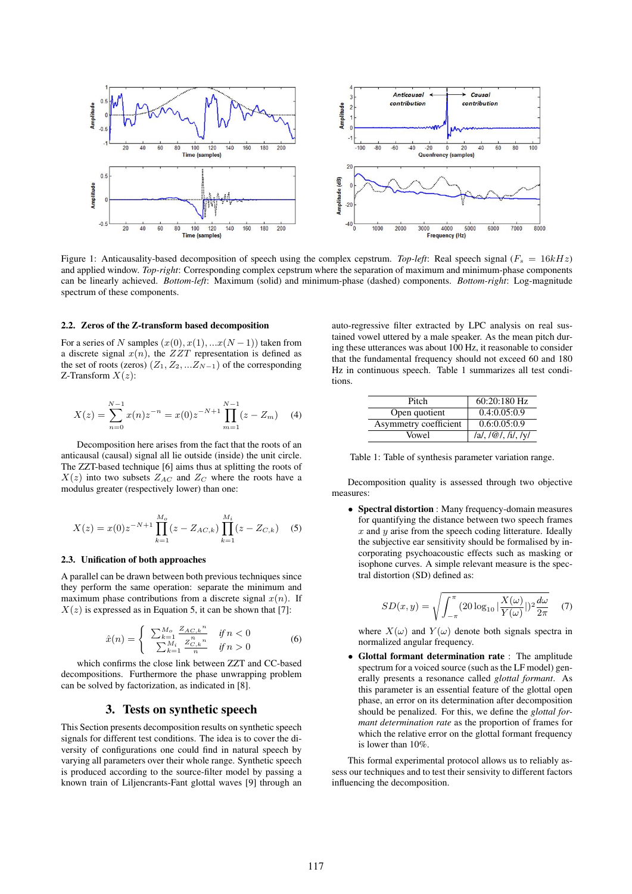

Figure 1: Anticausality-based decomposition of speech using the complex cepstrum. *Top-left*: Real speech signal ( $F_s = 16kHz$ ) and applied window. *Top-right*: Corresponding complex cepstrum where the separation of maximum and minimum-phase components can be linearly achieved. *Bottom-left*: Maximum (solid) and minimum-phase (dashed) components. *Bottom-right*: Log-magnitude spectrum of these components.

#### 2.2. Zeros of the Z-transform based decomposition

For a series of N samples  $(x(0), x(1), ...x(N-1))$  taken from a discrete signal  $x(n)$ , the  $ZZT$  representation is defined as the set of roots (zeros)  $(Z_1, Z_2, ... Z_{N-1})$  of the corresponding Z-Transform  $X(z)$ :

$$
X(z) = \sum_{n=0}^{N-1} x(n) z^{-n} = x(0) z^{-N+1} \prod_{m=1}^{N-1} (z - Z_m)
$$
 (4)

Decomposition here arises from the fact that the roots of an anticausal (causal) signal all lie outside (inside) the unit circle. The ZZT-based technique [6] aims thus at splitting the roots of  $X(z)$  into two subsets  $Z_{AC}$  and  $Z_{C}$  where the roots have a modulus greater (respectively lower) than one:

$$
X(z) = x(0)z^{-N+1} \prod_{k=1}^{M_o} (z - Z_{AC,k}) \prod_{k=1}^{M_i} (z - Z_{C,k})
$$
 (5)

#### 2.3. Unification of both approaches

A parallel can be drawn between both previous techniques since they perform the same operation: separate the minimum and maximum phase contributions from a discrete signal  $x(n)$ . If  $X(z)$  is expressed as in Equation 5, it can be shown that [7]:

$$
\hat{x}(n) = \begin{cases}\n\sum_{k=1}^{M_o} \frac{Z_{AC,k}^n}{n} & \text{if } n < 0 \\
\sum_{k=1}^{M_i} \frac{Z_{C,k}^n}{n} & \text{if } n > 0\n\end{cases}
$$
\n(6)

which confirms the close link between ZZT and CC-based decompositions. Furthermore the phase unwrapping problem can be solved by factorization, as indicated in [8].

# 3. Tests on synthetic speech

This Section presents decomposition results on synthetic speech signals for different test conditions. The idea is to cover the diversity of configurations one could find in natural speech by varying all parameters over their whole range. Synthetic speech is produced according to the source-filter model by passing a known train of Liljencrants-Fant glottal waves [9] through an auto-regressive filter extracted by LPC analysis on real sustained vowel uttered by a male speaker. As the mean pitch during these utterances was about 100 Hz, it reasonable to consider that the fundamental frequency should not exceed 60 and 180 Hz in continuous speech. Table 1 summarizes all test conditions.

| Pitch                 | $60:20:180$ Hz            |
|-----------------------|---------------------------|
| Open quotient         | 0.4:0.05:0.9              |
| Asymmetry coefficient | 0.6:0.05:0.9              |
| Vowel                 | $ a ,  \omega ,  i ,  y $ |

Table 1: Table of synthesis parameter variation range.

Decomposition quality is assessed through two objective measures:

• Spectral distortion : Many frequency-domain measures for quantifying the distance between two speech frames  $x$  and  $y$  arise from the speech coding litterature. Ideally the subjective ear sensitivity should be formalised by incorporating psychoacoustic effects such as masking or isophone curves. A simple relevant measure is the spectral distortion (SD) defined as:

$$
SD(x,y) = \sqrt{\int_{-\pi}^{\pi} (20 \log_{10} |\frac{X(\omega)}{Y(\omega)}|)^2 \frac{d\omega}{2\pi}} \quad (7)
$$

where  $X(\omega)$  and  $Y(\omega)$  denote both signals spectra in normalized angular frequency.

• Glottal formant determination rate : The amplitude spectrum for a voiced source (such as the LF model) generally presents a resonance called *glottal formant*. As this parameter is an essential feature of the glottal open phase, an error on its determination after decomposition should be penalized. For this, we define the *glottal formant determination rate* as the proportion of frames for which the relative error on the glottal formant frequency is lower than 10%.

This formal experimental protocol allows us to reliably assess our techniques and to test their sensivity to different factors influencing the decomposition.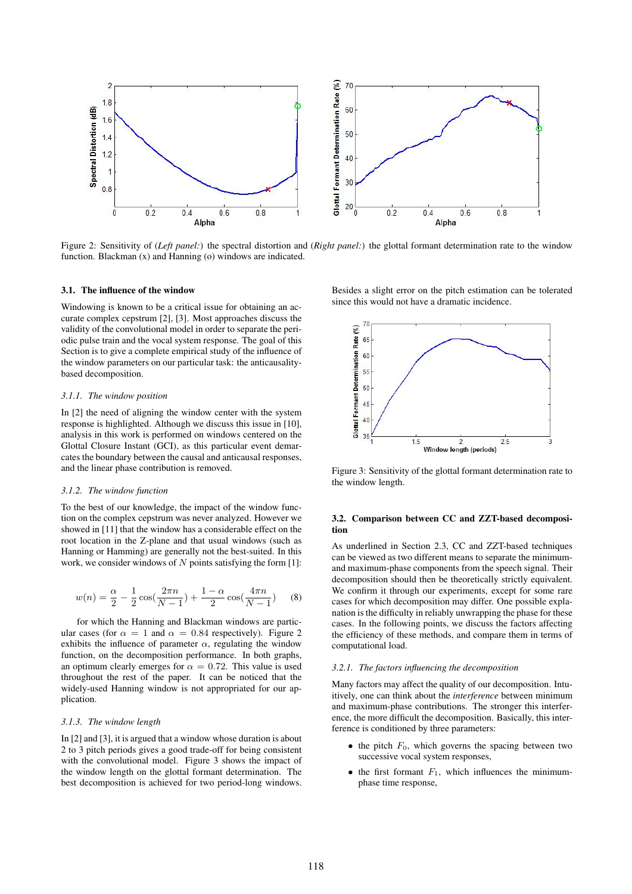

Figure 2: Sensitivity of (*Left panel:*) the spectral distortion and (*Right panel:*) the glottal formant determination rate to the window function. Blackman (x) and Hanning (o) windows are indicated.

#### 3.1. The influence of the window

Windowing is known to be a critical issue for obtaining an accurate complex cepstrum [2], [3]. Most approaches discuss the validity of the convolutional model in order to separate the periodic pulse train and the vocal system response. The goal of this Section is to give a complete empirical study of the influence of the window parameters on our particular task: the anticausalitybased decomposition.

#### *3.1.1. The window position*

In [2] the need of aligning the window center with the system response is highlighted. Although we discuss this issue in [10], analysis in this work is performed on windows centered on the Glottal Closure Instant (GCI), as this particular event demarcates the boundary between the causal and anticausal responses, and the linear phase contribution is removed.

#### *3.1.2. The window function*

To the best of our knowledge, the impact of the window function on the complex cepstrum was never analyzed. However we showed in [11] that the window has a considerable effect on the root location in the Z-plane and that usual windows (such as Hanning or Hamming) are generally not the best-suited. In this work, we consider windows of  $N$  points satisfying the form [1]:

$$
w(n) = \frac{\alpha}{2} - \frac{1}{2}\cos(\frac{2\pi n}{N-1}) + \frac{1-\alpha}{2}\cos(\frac{4\pi n}{N-1})
$$
 (8)

for which the Hanning and Blackman windows are particular cases (for  $\alpha = 1$  and  $\alpha = 0.84$  respectively). Figure 2 exhibits the influence of parameter  $\alpha$ , regulating the window function, on the decomposition performance. In both graphs, an optimum clearly emerges for  $\alpha = 0.72$ . This value is used throughout the rest of the paper. It can be noticed that the widely-used Hanning window is not appropriated for our application.

#### *3.1.3. The window length*

In [2] and [3], it is argued that a window whose duration is about 2 to 3 pitch periods gives a good trade-off for being consistent with the convolutional model. Figure 3 shows the impact of the window length on the glottal formant determination. The best decomposition is achieved for two period-long windows.

Besides a slight error on the pitch estimation can be tolerated since this would not have a dramatic incidence.



Figure 3: Sensitivity of the glottal formant determination rate to the window length.

### 3.2. Comparison between CC and ZZT-based decomposition

As underlined in Section 2.3, CC and ZZT-based techniques can be viewed as two different means to separate the minimumand maximum-phase components from the speech signal. Their decomposition should then be theoretically strictly equivalent. We confirm it through our experiments, except for some rare cases for which decomposition may differ. One possible explanation is the difficulty in reliably unwrapping the phase for these cases. In the following points, we discuss the factors affecting the efficiency of these methods, and compare them in terms of computational load.

#### *3.2.1. The factors influencing the decomposition*

Many factors may affect the quality of our decomposition. Intuitively, one can think about the *interference* between minimum and maximum-phase contributions. The stronger this interference, the more difficult the decomposition. Basically, this interference is conditioned by three parameters:

- the pitch  $F_0$ , which governs the spacing between two successive vocal system responses,
- the first formant  $F_1$ , which influences the minimumphase time response,